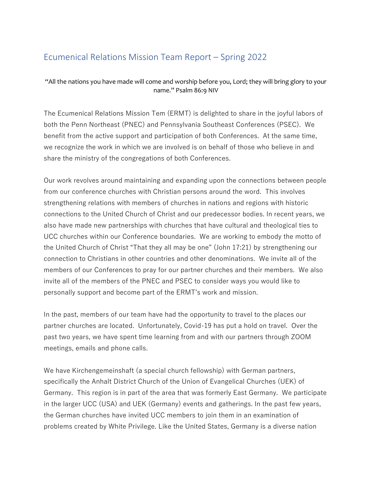## Ecumenical Relations Mission Team Report – Spring 2022

"All the nations you have made will come and worship before you, Lord; they will bring glory to your name." Psalm 86:9 NIV

The Ecumenical Relations Mission Tem (ERMT) is delighted to share in the joyful labors of both the Penn Northeast (PNEC) and Pennsylvania Southeast Conferences (PSEC). We benefit from the active support and participation of both Conferences. At the same time, we recognize the work in which we are involved is on behalf of those who believe in and share the ministry of the congregations of both Conferences.

Our work revolves around maintaining and expanding upon the connections between people from our conference churches with Christian persons around the word. This involves strengthening relations with members of churches in nations and regions with historic connections to the United Church of Christ and our predecessor bodies. In recent years, we also have made new partnerships with churches that have cultural and theological ties to UCC churches within our Conference boundaries. We are working to embody the motto of the United Church of Christ "That they all may be one" (John 17:21) by strengthening our connection to Christians in other countries and other denominations. We invite all of the members of our Conferences to pray for our partner churches and their members. We also invite all of the members of the PNEC and PSEC to consider ways you would like to personally support and become part of the ERMT's work and mission.

In the past, members of our team have had the opportunity to travel to the places our partner churches are located. Unfortunately, Covid-19 has put a hold on travel. Over the past two years, we have spent time learning from and with our partners through ZOOM meetings, emails and phone calls.

We have Kirchengemeinshaft (a special church fellowship) with German partners, specifically the Anhalt District Church of the Union of Evangelical Churches (UEK) of Germany. This region is in part of the area that was formerly East Germany. We participate in the larger UCC (USA) and UEK (Germany) events and gatherings. In the past few years, the German churches have invited UCC members to join them in an examination of problems created by White Privilege. Like the United States, Germany is a diverse nation